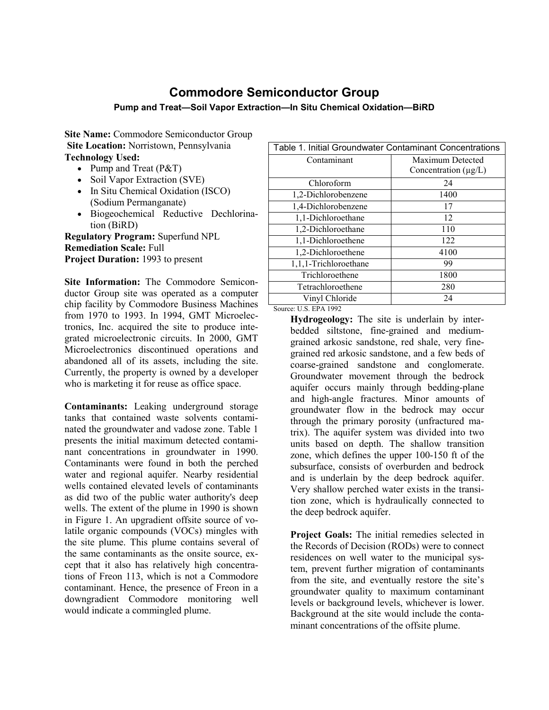# **Commodore Semiconductor Group**

## **Pump and Treat—Soil Vapor Extraction—In Situ Chemical Oxidation—BiRD**

**Site Name:** Commodore Semiconductor Group  **Site Location:** Norristown, Pennsylvania **Technology Used:**

- Pump and Treat (P&T)
- Soil Vapor Extraction (SVE)
- In Situ Chemical Oxidation (ISCO) (Sodium Permanganate)
- Biogeochemical Reductive Dechlorination (BiRD)

**Regulatory Program:** Superfund NPL **Remediation Scale:** Full **Project Duration:** 1993 to present

**Site Information:** The Commodore Semiconductor Group site was operated as a computer chip facility by Commodore Business Machines from 1970 to 1993. In 1994, GMT Microelectronics, Inc. acquired the site to produce integrated microelectronic circuits. In 2000, GMT Microelectronics discontinued operations and abandoned all of its assets, including the site. Currently, the property is owned by a developer who is marketing it for reuse as office space.

**Contaminants:** Leaking underground storage tanks that contained waste solvents contaminated the groundwater and vadose zone. Table 1 presents the initial maximum detected contaminant concentrations in groundwater in 1990. Contaminants were found in both the perched water and regional aquifer. Nearby residential wells contained elevated levels of contaminants as did two of the public water authority's deep wells. The extent of the plume in 1990 is shown in Figure 1. An upgradient offsite source of volatile organic compounds (VOCs) mingles with the site plume. This plume contains several of the same contaminants as the onsite source, except that it also has relatively high concentrations of Freon 113, which is not a Commodore contaminant. Hence, the presence of Freon in a downgradient Commodore monitoring well would indicate a commingled plume.

| Table 1. Initial Groundwater Contaminant Concentrations |  |  |
|---------------------------------------------------------|--|--|
| Maximum Detected                                        |  |  |
| Concentration $(\mu g/L)$                               |  |  |
| 24                                                      |  |  |
| 1400                                                    |  |  |
| 17                                                      |  |  |
| 12                                                      |  |  |
| 110                                                     |  |  |
| 122                                                     |  |  |
| 4100                                                    |  |  |
| 99                                                      |  |  |
| 1800                                                    |  |  |
| 280                                                     |  |  |
| 24                                                      |  |  |
|                                                         |  |  |

### Source: U.S. EPA 1992

**Hydrogeology:** The site is underlain by interbedded siltstone, fine-grained and mediumgrained arkosic sandstone, red shale, very finegrained red arkosic sandstone, and a few beds of coarse-grained sandstone and conglomerate. Groundwater movement through the bedrock aquifer occurs mainly through bedding-plane and high-angle fractures. Minor amounts of groundwater flow in the bedrock may occur through the primary porosity (unfractured matrix). The aquifer system was divided into two units based on depth. The shallow transition zone, which defines the upper 100-150 ft of the subsurface, consists of overburden and bedrock and is underlain by the deep bedrock aquifer. Very shallow perched water exists in the transition zone, which is hydraulically connected to the deep bedrock aquifer.

**Project Goals:** The initial remedies selected in the Records of Decision (RODs) were to connect residences on well water to the municipal system, prevent further migration of contaminants from the site, and eventually restore the site's groundwater quality to maximum contaminant levels or background levels, whichever is lower. Background at the site would include the contaminant concentrations of the offsite plume.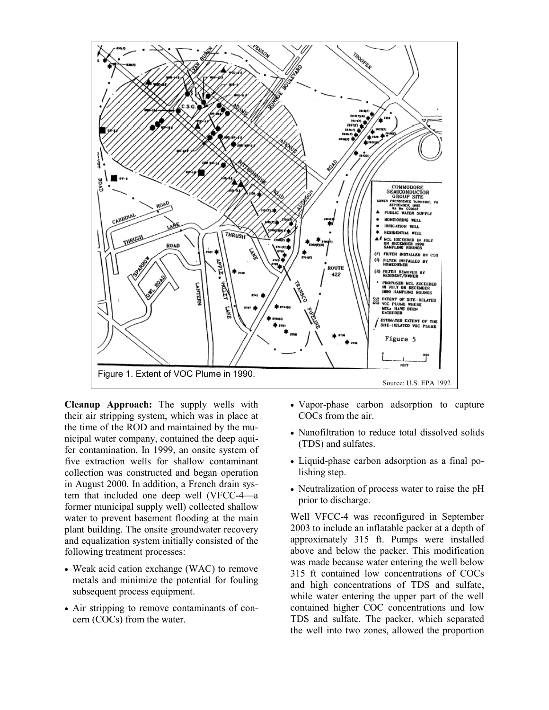

**Cleanup Approach:** The supply wells with their air stripping system, which was in place at the time of the ROD and maintained by the municipal water company, contained the deep aquifer contamination. In 1999, an onsite system of five extraction wells for shallow contaminant collection was constructed and began operation in August 2000. In addition, a French drain system that included one deep well (VFCC-4—a former municipal supply well) collected shallow water to prevent basement flooding at the main plant building. The onsite groundwater recovery and equalization system initially consisted of the following treatment processes:

- Weak acid cation exchange (WAC) to remove metals and minimize the potential for fouling subsequent process equipment.
- Air stripping to remove contaminants of concern (COCs) from the water.
- Vapor-phase carbon adsorption to capture COCs from the air.
- Nanofiltration to reduce total dissolved solids (TDS) and sulfates.
- Liquid-phase carbon adsorption as a final polishing step.
- Neutralization of process water to raise the pH prior to discharge.

Well VFCC-4 was reconfigured in September 2003 to include an inflatable packer at a depth of approximately 315 ft. Pumps were installed above and below the packer. This modification was made because water entering the well below 315 ft contained low concentrations of COCs and high concentrations of TDS and sulfate, while water entering the upper part of the well contained higher COC concentrations and low TDS and sulfate. The packer, which separated the well into two zones, allowed the proportion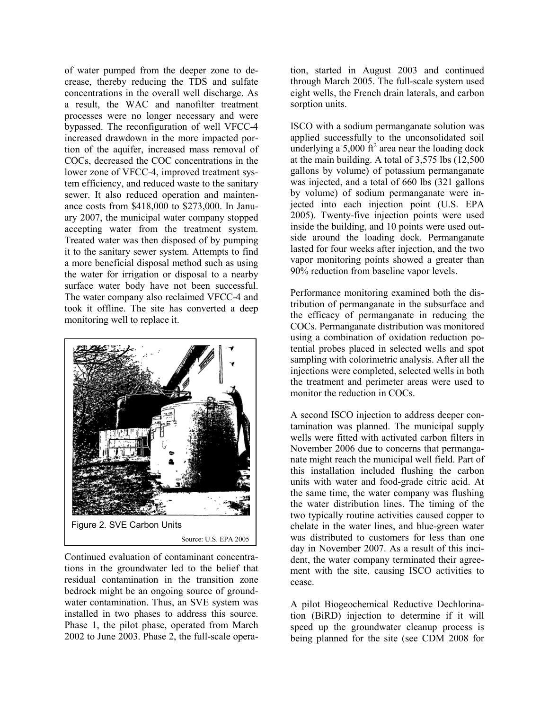of water pumped from the deeper zone to decrease, thereby reducing the TDS and sulfate concentrations in the overall well discharge. As a result, the WAC and nanofilter treatment processes were no longer necessary and were bypassed. The reconfiguration of well VFCC-4 increased drawdown in the more impacted portion of the aquifer, increased mass removal of COCs, decreased the COC concentrations in the lower zone of VFCC-4, improved treatment system efficiency, and reduced waste to the sanitary sewer. It also reduced operation and maintenance costs from \$418,000 to \$273,000. In January 2007, the municipal water company stopped accepting water from the treatment system. Treated water was then disposed of by pumping it to the sanitary sewer system. Attempts to find a more beneficial disposal method such as using the water for irrigation or disposal to a nearby surface water body have not been successful. The water company also reclaimed VFCC-4 and took it offline. The site has converted a deep monitoring well to replace it.



Continued evaluation of contaminant concentrations in the groundwater led to the belief that residual contamination in the transition zone bedrock might be an ongoing source of groundwater contamination. Thus, an SVE system was installed in two phases to address this source. Phase 1, the pilot phase, operated from March 2002 to June 2003. Phase 2, the full-scale operation, started in August 2003 and continued through March 2005. The full-scale system used eight wells, the French drain laterals, and carbon sorption units.

ISCO with a sodium permanganate solution was applied successfully to the unconsolidated soil underlying a  $5,000$  ft<sup>2</sup> area near the loading dock at the main building. A total of 3,575 lbs (12,500 gallons by volume) of potassium permanganate was injected, and a total of 660 lbs (321 gallons by volume) of sodium permanganate were injected into each injection point (U.S. EPA 2005). Twenty-five injection points were used inside the building, and 10 points were used outside around the loading dock. Permanganate lasted for four weeks after injection, and the two vapor monitoring points showed a greater than 90% reduction from baseline vapor levels.

Performance monitoring examined both the distribution of permanganate in the subsurface and the efficacy of permanganate in reducing the COCs. Permanganate distribution was monitored using a combination of oxidation reduction potential probes placed in selected wells and spot sampling with colorimetric analysis. After all the injections were completed, selected wells in both the treatment and perimeter areas were used to monitor the reduction in COCs.

A second ISCO injection to address deeper contamination was planned. The municipal supply wells were fitted with activated carbon filters in November 2006 due to concerns that permanganate might reach the municipal well field. Part of this installation included flushing the carbon units with water and food-grade citric acid. At the same time, the water company was flushing the water distribution lines. The timing of the two typically routine activities caused copper to chelate in the water lines, and blue-green water was distributed to customers for less than one day in November 2007. As a result of this incident, the water company terminated their agreement with the site, causing ISCO activities to cease.

A pilot Biogeochemical Reductive Dechlorination (BiRD) injection to determine if it will speed up the groundwater cleanup process is being planned for the site (see CDM 2008 for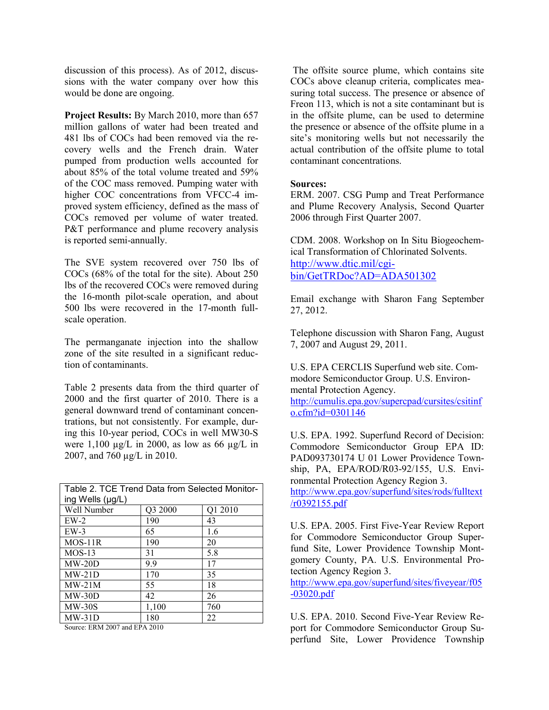discussion of this process). As of 2012, discussions with the water company over how this would be done are ongoing.

**Project Results:** By March 2010, more than 657 million gallons of water had been treated and 481 lbs of COCs had been removed via the recovery wells and the French drain. Water pumped from production wells accounted for about 85% of the total volume treated and 59% of the COC mass removed. Pumping water with higher COC concentrations from VFCC-4 improved system efficiency, defined as the mass of COCs removed per volume of water treated. P&T performance and plume recovery analysis is reported semi-annually.

The SVE system recovered over 750 lbs of COCs (68% of the total for the site). About 250 lbs of the recovered COCs were removed during the 16-month pilot-scale operation, and about 500 lbs were recovered in the 17-month fullscale operation.

The permanganate injection into the shallow zone of the site resulted in a significant reduction of contaminants.

Table 2 presents data from the third quarter of 2000 and the first quarter of 2010. There is a general downward trend of contaminant concentrations, but not consistently. For example, during this 10-year period, COCs in well MW30-S were  $1,100 \mu g/L$  in 2000, as low as 66  $\mu g/L$  in 2007, and 760 µg/L in 2010.

| Table 2. TCE Trend Data from Selected Monitor- |         |         |
|------------------------------------------------|---------|---------|
| ing Wells (µg/L)                               |         |         |
| Well Number                                    | Q3 2000 | Q1 2010 |
| $EW-2$                                         | 190     | 43      |
| $EW-3$                                         | 65      | 1.6     |
| $MOS-11R$                                      | 190     | 20      |
| $MOS-13$                                       | 31      | 5.8     |
| $MW-20D$                                       | 9.9     | 17      |
| $MW-21D$                                       | 170     | 35      |
| $MW-21M$                                       | 55      | 18      |
| $MW-30D$                                       | 42      | 26      |
| $MW-30S$                                       | 1,100   | 760     |
| $MW-31D$                                       | 180     | 22      |

Source: ERM 2007 and EPA 2010

The offsite source plume, which contains site COCs above cleanup criteria, complicates measuring total success. The presence or absence of Freon 113, which is not a site contaminant but is in the offsite plume, can be used to determine the presence or absence of the offsite plume in a site's monitoring wells but not necessarily the actual contribution of the offsite plume to total contaminant concentrations.

## **Sources:**

ERM. 2007. CSG Pump and Treat Performance and Plume Recovery Analysis, Second Quarter 2006 through First Quarter 2007.

CDM. 2008. Workshop on In Situ Biogeochemical Transformation of Chlorinated Solvents. [http://www.dtic.mil/cgi](http://www.dtic.mil/cgi-bin/GetTRDoc?AD=ADA501302)[bin/GetTRDoc?AD=ADA501302](http://www.dtic.mil/cgi-bin/GetTRDoc?AD=ADA501302)

Email exchange with Sharon Fang September 27, 2012.

Telephone discussion with Sharon Fang, August 7, 2007 and August 29, 2011.

U.S. EPA CERCLIS Superfund web site. Commodore Semiconductor Group. U.S. Environmental Protection Agency. [http://cumulis.epa.gov/supercpad/cursites/csitinf](http://cumulis.epa.gov/supercpad/cursites/csitinfo.cfm?id=0301146) [o.cfm?id=0301146](http://cumulis.epa.gov/supercpad/cursites/csitinfo.cfm?id=0301146)

U.S. EPA. 1992. Superfund Record of Decision: Commodore Semiconductor Group EPA ID: PAD093730174 U 01 Lower Providence Township, PA, EPA/ROD/R03-92/155, U.S. Environmental Protection Agency Region 3.

[http://www.epa.gov/superfund/sites/rods/fulltext](http://www.epa.gov/superfund/sites/rods/fulltext/r0392155.pdf) [/r0392155.pdf](http://www.epa.gov/superfund/sites/rods/fulltext/r0392155.pdf)

U.S. EPA. 2005. First Five-Year Review Report for Commodore Semiconductor Group Superfund Site, Lower Providence Township Montgomery County, PA. U.S. Environmental Protection Agency Region 3.

[http://www.epa.gov/superfund/sites/fiveyear/f05](http://www.epa.gov/superfund/sites/fiveyear/f05-03020.pdf) [-03020.pdf](http://www.epa.gov/superfund/sites/fiveyear/f05-03020.pdf)

U.S. EPA. 2010. Second Five-Year Review Report for Commodore Semiconductor Group Superfund Site, Lower Providence Township